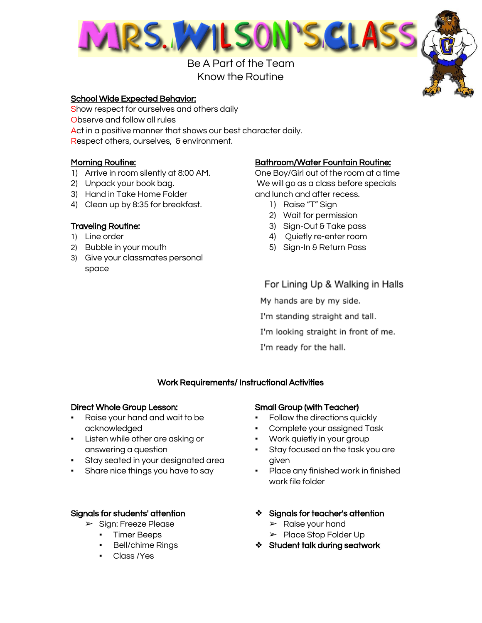

Be A Part of the Team Know the Routine

#### School Wide Expected Behavior:

Show respect for ourselves and others daily Observe and follow all rules Act in a positive manner that shows our best character daily. Respect others, ourselves, & environment.

#### Morning Routine:

- 1) Arrive in room silently at 8:00 AM.
- 2) Unpack your book bag.
- 3) Hand in Take Home Folder
- 4) Clean up by 8:35 for breakfast.

#### Traveling Routine:

- 1) Line order
- 2) Bubble in your mouth
- 3) Give your classmates personal space

#### Bathroom/Water Fountain Routine:

One Boy/Girl out of the room at a time We will go as a class before specials and lunch and after recess.

- 1) Raise "T" Sign
- 2) Wait for permission
- 3) Sign-Out & Take pass
- 4) Quietly re-enter room
- 5) Sign-In & Return Pass

For Lining Up & Walking in Halls

My hands are by my side.

I'm standing straight and tall.

I'm looking straight in front of me.

I'm ready for the hall.

#### Work Requirements/ Instructional Activities

#### Direct Whole Group Lesson:

- Raise your hand and wait to be acknowledged
- Listen while other are asking or answering a question
- Stay seated in your designated area
- **•** Share nice things you have to say

#### Signals for students' attention

- ➢ Sign: Freeze Please
	- Timer Beeps
	- **Bell/chime Rings**
	- Class /Yes

#### Small Group (with Teacher)

- Follow the directions quickly
- Complete your assigned Task
- Work quietly in your group
- Stay focused on the task you are given
- Place any finished work in finished work file folder
- ❖ Signals for teacher's attention
	- ➢ Raise your hand
	- ➢ Place Stop Folder Up
- ❖ Student talk during seatwork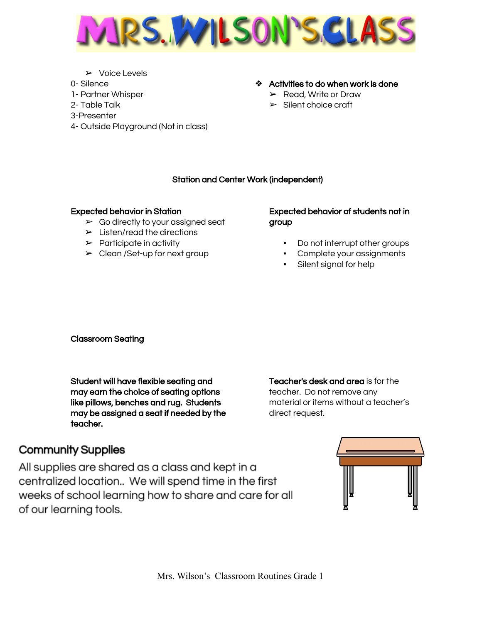

- ➢ Voice Levels
- 0- Silence
- 1- Partner Whisper
- 2- Table Talk
- 3-Presenter
- 4- Outside Playground (Not in class)

# ❖ Activities to do when work is done

- ➢ Read, Write or Draw
- ➢ Silent choice craft

# Station and Center Work (independent)

## Expected behavior in Station

- $\triangleright$  Go directly to your assigned seat
- $\blacktriangleright$  Listen/read the directions
- $\triangleright$  Participate in activity
- $\blacktriangleright$  Clean /Set-up for next group

## Expected behavior of students not in group

- Do not interrupt other groups
- Complete your assignments
	- Silent signal for help

Classroom Seating

Student will have flexible seating and may earn the choice of seating options like pillows, benches and rug. Students may be assigned a seat if needed by the teacher.

Teacher's desk and area is for the teacher. Do not remove any material or items without a teacher's direct request.

# **Community Supplies**

All supplies are shared as a class and kept in a centralized location.. We will spend time in the first weeks of school learning how to share and care for all of our learning tools.

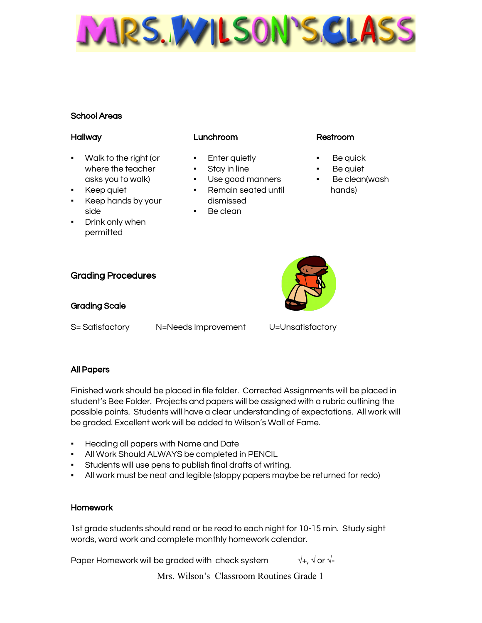MARS. WILLSON'S GLA

# School Areas

## Hallway

- Walk to the right (or where the teacher asks you to walk)
- Keep quiet
- Keep hands by your side
- Drink only when permitted

# Lunchroom

- Enter quietly
- Stay in line
- Use good manners ▪ Remain seated until
- dismissed
- Be clean

## Restroom

- Be quick
- Be quiet
- Be clean(wash hands)



Grading Procedures

# Grading Scale

S= Satisfactory N=Needs Improvement U=Unsatisfactory

# All Papers

Finished work should be placed in file folder. Corrected Assignments will be placed in student's Bee Folder. Projects and papers will be assigned with a rubric outlining the possible points. Students will have a clear understanding of expectations. All work will be graded. Excellent work will be added to Wilson's Wall of Fame.

- Heading all papers with Name and Date
- All Work Should ALWAYS be completed in PENCIL
- Students will use pens to publish final drafts of writing.
- All work must be neat and legible (sloppy papers maybe be returned for redo)

# Homework

1st grade students should read or be read to each night for 10-15 min. Study sight words, word work and complete monthly homework calendar.

Paper Homework will be graded with check system  $\sqrt{+}$ ,  $\sqrt{}$  or  $\sqrt{-}$ 

Mrs. Wilson's Classroom Routines Grade 1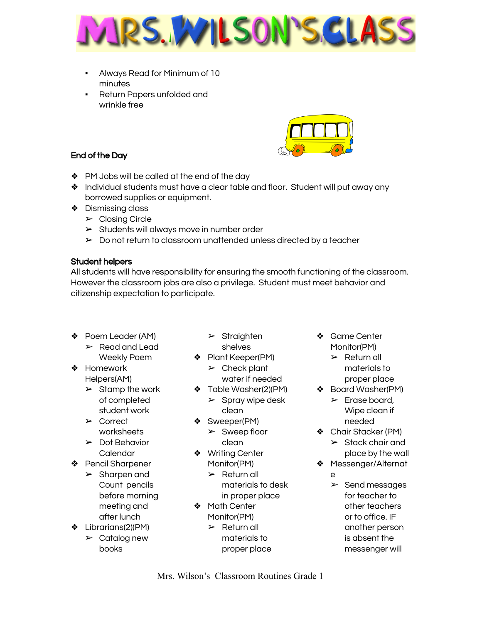

- Always Read for Minimum of 10 minutes
- Return Papers unfolded and wrinkle free





- ❖ PM Jobs will be called at the end of the day
- ❖ Individual students must have a clear table and floor. Student will put away any borrowed supplies or equipment.
- ❖ Dismissing class
	- ➢ Closing Circle
	- ➢ Students will always move in number order
	- $\triangleright$  Do not return to classroom unattended unless directed by a teacher

## Student helpers

All students will have responsibility for ensuring the smooth functioning of the classroom. However the classroom jobs are also a privilege. Student must meet behavior and citizenship expectation to participate.

- ❖ Poem Leader (AM)  $\blacktriangleright$  Read and Lead Weekly Poem
- ❖ Homework Helpers(AM)
	- $\triangleright$  Stamp the work of completed student work
	- ➢ Correct worksheets
	- $\triangleright$  Dot Behavior Calendar
- ❖ Pencil Sharpener
	- ➢ Sharpen and Count pencils before morning meeting and after lunch
- ❖ Librarians(2)(PM)
	- $\triangleright$  Catalog new books
- $\triangleright$  Straighten shelves
- ❖ Plant Keeper(PM)  $\blacktriangleright$  Check plant water if needed
- ❖ Table Washer(2)(PM)
- $\triangleright$  Spray wipe desk
	- clean
- ❖ Sweeper(PM)
	- $\triangleright$  Sweep floor clean
- ❖ Writing Center Monitor(PM)
	- $\triangleright$  Return all materials to desk in proper place
- ❖ Math Center Monitor(PM)
	- $\triangleright$  Return all materials to proper place
- ❖ Game Center Monitor(PM)
	- $\triangleright$  Return all materials to proper place
- ❖ Board Washer(PM)  $\blacktriangleright$  Erase board, Wipe clean if needed
- ❖ Chair Stacker (PM)
	- $\triangleright$  Stack chair and place by the wall
- ❖ Messenger/Alternat
	- e
	- $\triangleright$  Send messages for teacher to other teachers or to office. IF another person is absent the messenger will

Mrs. Wilson's Classroom Routines Grade 1